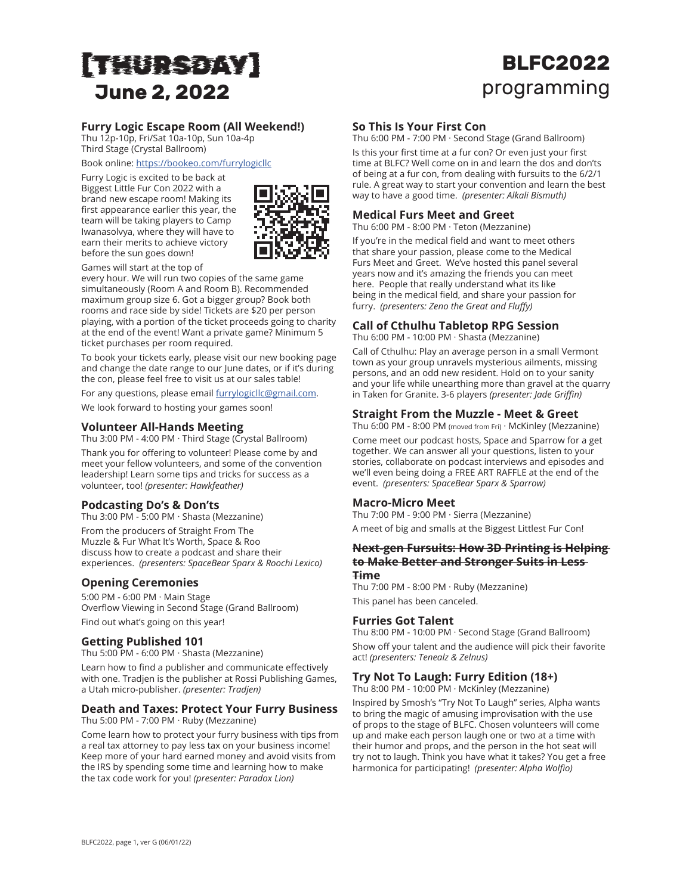# [THURSDAY] **June 2, 2022**

# **BLFC2022** programming

# **Furry Logic Escape Room (All Weekend!)**

Thu 12p-10p, Fri/Sat 10a-10p, Sun 10a-4p Third Stage (Crystal Ballroom)

Book online: <https://bookeo.com/furrylogicllc>

Furry Logic is excited to be back at Biggest Little Fur Con 2022 with a brand new escape room! Making its first appearance earlier this year, the team will be taking players to Camp Iwanasolvya, where they will have to earn their merits to achieve victory before the sun goes down!



Games will start at the top of

every hour. We will run two copies of the same game simultaneously (Room A and Room B). Recommended maximum group size 6. Got a bigger group? Book both rooms and race side by side! Tickets are \$20 per person playing, with a portion of the ticket proceeds going to charity at the end of the event! Want a private game? Minimum 5 ticket purchases per room required.

To book your tickets early, please visit our new booking page and change the date range to our June dates, or if it's during the con, please feel free to visit us at our sales table!

For any questions, please email [furrylogicllc@gmail.com.](mailto:furrylogicllc@gmail.com) We look forward to hosting your games soon!

#### **Volunteer All-Hands Meeting**

Thu 3:00 PM - 4:00 PM · Third Stage (Crystal Ballroom) Thank you for offering to volunteer! Please come by and meet your fellow volunteers, and some of the convention

#### leadership! Learn some tips and tricks for success as a volunteer, too! *(presenter: Hawkfeather)*

#### **Podcasting Do's & Don'ts**

Thu 3:00 PM - 5:00 PM · Shasta (Mezzanine)

From the producers of Straight From The Muzzle & Fur What It's Worth, Space & Roo discuss how to create a podcast and share their experiences. *(presenters: SpaceBear Sparx & Roochi Lexico)*

## **Opening Ceremonies**

5:00 PM - 6:00 PM · Main Stage Overflow Viewing in Second Stage (Grand Ballroom) Find out what's going on this year!

#### **Getting Published 101**

Thu 5:00 PM - 6:00 PM · Shasta (Mezzanine)

Learn how to find a publisher and communicate effectively with one. Tradjen is the publisher at Rossi Publishing Games, a Utah micro-publisher. *(presenter: Tradjen)*

#### **Death and Taxes: Protect Your Furry Business** Thu 5:00 PM - 7:00 PM · Ruby (Mezzanine)

Come learn how to protect your furry business with tips from a real tax attorney to pay less tax on your business income! Keep more of your hard earned money and avoid visits from the IRS by spending some time and learning how to make the tax code work for you! *(presenter: Paradox Lion)*

#### **So This Is Your First Con**

Thu 6:00 PM - 7:00 PM · Second Stage (Grand Ballroom)

Is this your first time at a fur con? Or even just your first time at BLFC? Well come on in and learn the dos and don'ts of being at a fur con, from dealing with fursuits to the 6/2/1 rule. A great way to start your convention and learn the best way to have a good time. *(presenter: Alkali Bismuth)*

## **Medical Furs Meet and Greet**

Thu 6:00 PM - 8:00 PM · Teton (Mezzanine)

If you're in the medical field and want to meet others that share your passion, please come to the Medical Furs Meet and Greet. We've hosted this panel several years now and it's amazing the friends you can meet here. People that really understand what its like being in the medical field, and share your passion for furry. *(presenters: Zeno the Great and Fluffy)*

# **Call of Cthulhu Tabletop RPG Session**

Thu 6:00 PM - 10:00 PM · Shasta (Mezzanine)

Call of Cthulhu: Play an average person in a small Vermont town as your group unravels mysterious ailments, missing persons, and an odd new resident. Hold on to your sanity and your life while unearthing more than gravel at the quarry in Taken for Granite. 3-6 players *(presenter: Jade Griffin)*

#### **Straight From the Muzzle - Meet & Greet**

Thu 6:00 PM - 8:00 PM (moved from Fri) · McKinley (Mezzanine)

Come meet our podcast hosts, Space and Sparrow for a get together. We can answer all your questions, listen to your stories, collaborate on podcast interviews and episodes and we'll even being doing a FREE ART RAFFLE at the end of the event. *(presenters: SpaceBear Sparx & Sparrow)*

#### **Macro-Micro Meet**

Thu 7:00 PM - 9:00 PM · Sierra (Mezzanine) A meet of big and smalls at the Biggest Littlest Fur Con!

#### **Next-gen Fursuits: How 3D Printing is Helping to Make Better and Stronger Suits in Less Time**

Thu 7:00 PM - 8:00 PM · Ruby (Mezzanine) This panel has been canceled.

## **Furries Got Talent**

Thu 8:00 PM - 10:00 PM · Second Stage (Grand Ballroom) Show off your talent and the audience will pick their favorite act! *(presenters: Tenealz & Zelnus)*

# **Try Not To Laugh: Furry Edition (18+)**

Thu 8:00 PM - 10:00 PM · McKinley (Mezzanine)

Inspired by Smosh's "Try Not To Laugh" series, Alpha wants to bring the magic of amusing improvisation with the use of props to the stage of BLFC. Chosen volunteers will come up and make each person laugh one or two at a time with their humor and props, and the person in the hot seat will try not to laugh. Think you have what it takes? You get a free harmonica for participating! *(presenter: Alpha Wolfio)*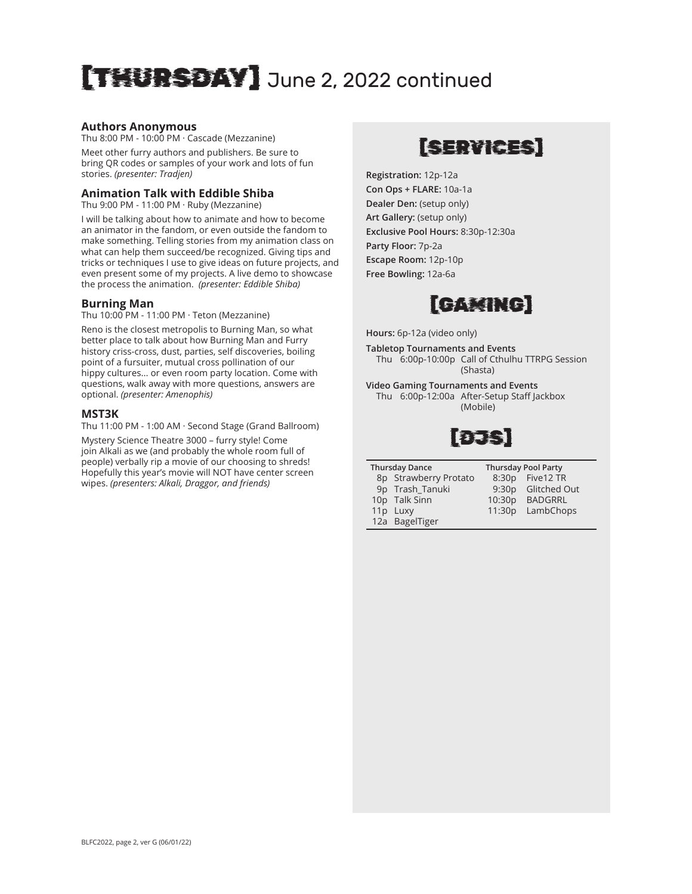# [THURSDAY] June 2, 2022 continued

#### **Authors Anonymous**

Thu 8:00 PM - 10:00 PM · Cascade (Mezzanine)

Meet other furry authors and publishers. Be sure to bring QR codes or samples of your work and lots of fun stories. *(presenter: Tradjen)*

#### **Animation Talk with Eddible Shiba**

Thu 9:00 PM - 11:00 PM · Ruby (Mezzanine)

I will be talking about how to animate and how to become an animator in the fandom, or even outside the fandom to make something. Telling stories from my animation class on what can help them succeed/be recognized. Giving tips and tricks or techniques I use to give ideas on future projects, and even present some of my projects. A live demo to showcase the process the animation. *(presenter: Eddible Shiba)*

#### **Burning Man**

Thu 10:00 PM - 11:00 PM · Teton (Mezzanine)

Reno is the closest metropolis to Burning Man, so what better place to talk about how Burning Man and Furry history criss-cross, dust, parties, self discoveries, boiling point of a fursuiter, mutual cross pollination of our hippy cultures... or even room party location. Come with questions, walk away with more questions, answers are optional. *(presenter: Amenophis)*

#### **MST3K**

Thu 11:00 PM - 1:00 AM · Second Stage (Grand Ballroom)

Mystery Science Theatre 3000 – furry style! Come join Alkali as we (and probably the whole room full of people) verbally rip a movie of our choosing to shreds! Hopefully this year's movie will NOT have center screen wipes. *(presenters: Alkali, Draggor, and friends)*

# [SERVICES]

**Registration:** 12p-12a **Con Ops + FLARE:** 10a-1a **Dealer Den:** (setup only) **Art Gallery:** (setup only) **Exclusive Pool Hours:** 8:30p-12:30a **Party Floor:** 7p-2a **Escape Room:** 12p-10p **Free Bowling:** 12a-6a



**Hours:** 6p-12a (video only)

**Tabletop Tournaments and Events** Thu 6:00p-10:00p Call of Cthulhu TTRPG Session (Shasta)

**Video Gaming Tournaments and Events** Thu 6:00p-12:00a After-Setup Staff Jackbox (Mobile)



| <b>Thursday Dance</b> | <b>Thursday Po</b> |  |
|-----------------------|--------------------|--|
| 8p Strawberry Protato | 8:30p Fi           |  |
| 9p Trash Tanuki       | $9:30p$ G          |  |
| 10p Talk Sinn         | 10:30p B.          |  |

**Del Party** ve12 TR litched Out **ADGRRL** 11:30p LambChops

12a BagelTiger

11p Luxy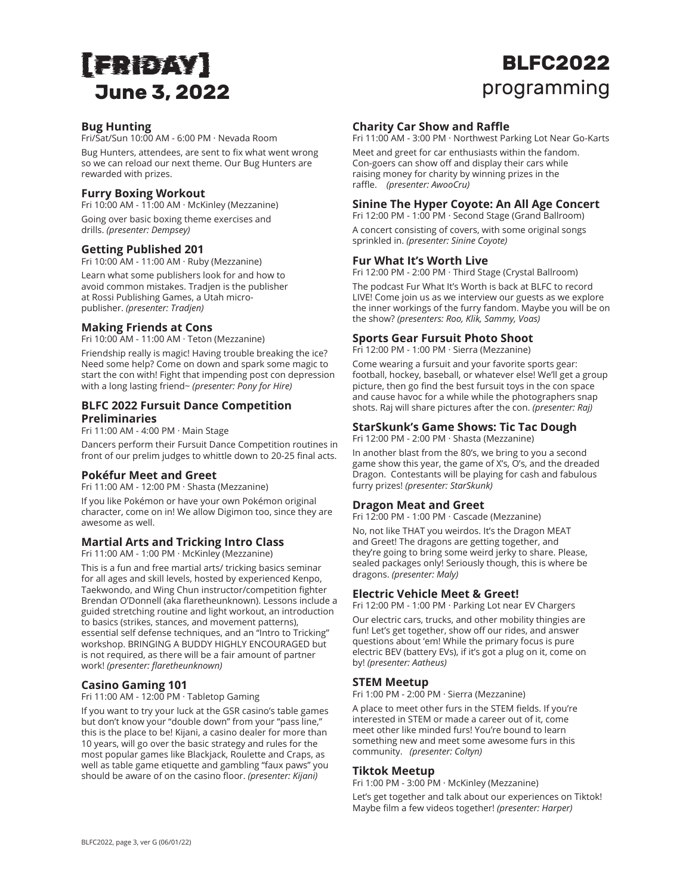# [FRIDAY] **June 3, 2022**

# **BLFC2022** programming

## **Bug Hunting**

Fri/Sat/Sun 10:00 AM - 6:00 PM · Nevada Room

Bug Hunters, attendees, are sent to fix what went wrong so we can reload our next theme. Our Bug Hunters are rewarded with prizes.

## **Furry Boxing Workout**

Fri 10:00 AM - 11:00 AM · McKinley (Mezzanine) Going over basic boxing theme exercises and drills. *(presenter: Dempsey)*

#### **Getting Published 201**

Fri 10:00 AM - 11:00 AM · Ruby (Mezzanine)

Learn what some publishers look for and how to avoid common mistakes. Tradjen is the publisher at Rossi Publishing Games, a Utah micropublisher. *(presenter: Tradjen)*

#### **Making Friends at Cons**

Fri 10:00 AM - 11:00 AM · Teton (Mezzanine)

Friendship really is magic! Having trouble breaking the ice? Need some help? Come on down and spark some magic to start the con with! Fight that impending post con depression with a long lasting friend~ *(presenter: Pony for Hire)*

#### **BLFC 2022 Fursuit Dance Competition Preliminaries**

Fri 11:00 AM - 4:00 PM · Main Stage

Dancers perform their Fursuit Dance Competition routines in front of our prelim judges to whittle down to 20-25 final acts.

## **Pokéfur Meet and Greet**

Fri 11:00 AM - 12:00 PM · Shasta (Mezzanine)

If you like Pokémon or have your own Pokémon original character, come on in! We allow Digimon too, since they are awesome as well.

#### **Martial Arts and Tricking Intro Class**

Fri 11:00 AM - 1:00 PM · McKinley (Mezzanine)

This is a fun and free martial arts/ tricking basics seminar for all ages and skill levels, hosted by experienced Kenpo, Taekwondo, and Wing Chun instructor/competition fighter Brendan O'Donnell (aka flaretheunknown). Lessons include a guided stretching routine and light workout, an introduction to basics (strikes, stances, and movement patterns), essential self defense techniques, and an "Intro to Tricking" workshop. BRINGING A BUDDY HIGHLY ENCOURAGED but is not required, as there will be a fair amount of partner work! *(presenter: flaretheunknown)*

## **Casino Gaming 101**

Fri 11:00 AM - 12:00 PM · Tabletop Gaming

If you want to try your luck at the GSR casino's table games but don't know your "double down" from your "pass line," this is the place to be! Kijani, a casino dealer for more than 10 years, will go over the basic strategy and rules for the most popular games like Blackjack, Roulette and Craps, as well as table game etiquette and gambling "faux paws" you should be aware of on the casino floor. *(presenter: Kijani)*

#### **Charity Car Show and Raffle**

Fri 11:00 AM - 3:00 PM · Northwest Parking Lot Near Go-Karts

Meet and greet for car enthusiasts within the fandom. Con-goers can show off and display their cars while raising money for charity by winning prizes in the raffle. *(presenter: AwooCru)*

#### **Sinine The Hyper Coyote: An All Age Concert**

Fri 12:00 PM - 1:00 PM · Second Stage (Grand Ballroom) A concert consisting of covers, with some original songs sprinkled in. *(presenter: Sinine Coyote)*

#### **Fur What It's Worth Live**

Fri 12:00 PM - 2:00 PM · Third Stage (Crystal Ballroom)

The podcast Fur What It's Worth is back at BLFC to record LIVE! Come join us as we interview our guests as we explore the inner workings of the furry fandom. Maybe you will be on the show? *(presenters: Roo, Klik, Sammy, Voas)*

#### **Sports Gear Fursuit Photo Shoot**

Fri 12:00 PM - 1:00 PM · Sierra (Mezzanine)

Come wearing a fursuit and your favorite sports gear: football, hockey, baseball, or whatever else! We'll get a group picture, then go find the best fursuit toys in the con space and cause havoc for a while while the photographers snap shots. Raj will share pictures after the con. *(presenter: Raj)*

#### **StarSkunk's Game Shows: Tic Tac Dough**

Fri 12:00 PM - 2:00 PM · Shasta (Mezzanine)

In another blast from the 80's, we bring to you a second game show this year, the game of X's, O's, and the dreaded Dragon. Contestants will be playing for cash and fabulous furry prizes! *(presenter: StarSkunk)*

#### **Dragon Meat and Greet**

Fri 12:00 PM - 1:00 PM · Cascade (Mezzanine)

No, not like THAT you weirdos. It's the Dragon MEAT and Greet! The dragons are getting together, and they're going to bring some weird jerky to share. Please, sealed packages only! Seriously though, this is where be dragons. *(presenter: Maly)*

#### **Electric Vehicle Meet & Greet!**

Fri 12:00 PM - 1:00 PM · Parking Lot near EV Chargers

Our electric cars, trucks, and other mobility thingies are fun! Let's get together, show off our rides, and answer questions about 'em! While the primary focus is pure electric BEV (battery EVs), if it's got a plug on it, come on by! *(presenter: Aatheus)*

#### **STEM Meetup**

Fri 1:00 PM - 2:00 PM · Sierra (Mezzanine)

A place to meet other furs in the STEM fields. If you're interested in STEM or made a career out of it, come meet other like minded furs! You're bound to learn something new and meet some awesome furs in this community. *(presenter: Coltyn)*

#### **Tiktok Meetup**

Fri 1:00 PM - 3:00 PM · McKinley (Mezzanine)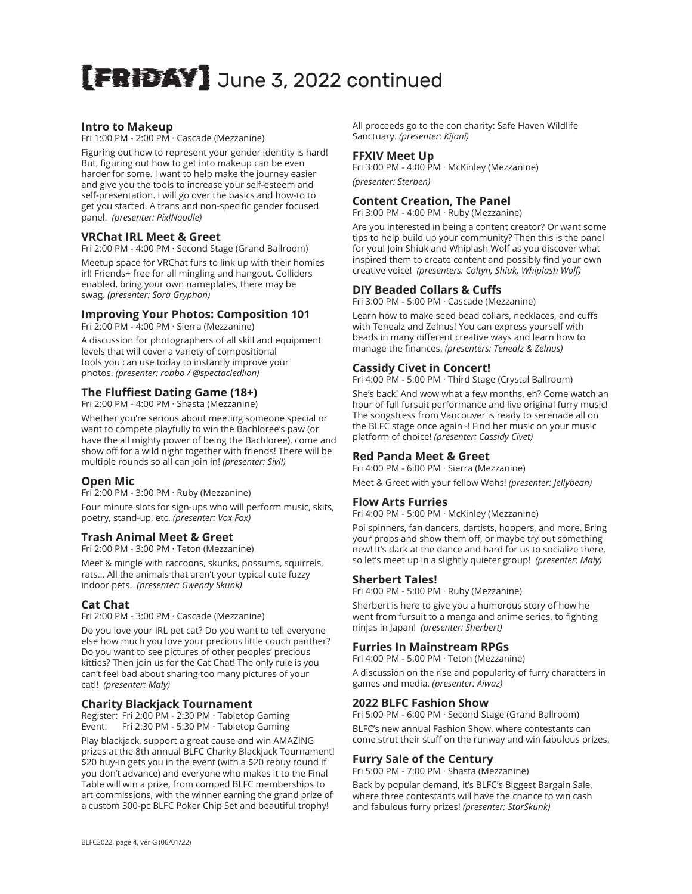# [FRIDAY] June 3, 2022 continued

#### **Intro to Makeup**

Fri 1:00 PM - 2:00 PM · Cascade (Mezzanine)

Figuring out how to represent your gender identity is hard! But, figuring out how to get into makeup can be even harder for some. I want to help make the journey easier and give you the tools to increase your self-esteem and self-presentation. I will go over the basics and how-to to get you started. A trans and non-specific gender focused panel. *(presenter: PixlNoodle)*

#### **VRChat IRL Meet & Greet**

Fri 2:00 PM - 4:00 PM · Second Stage (Grand Ballroom)

Meetup space for VRChat furs to link up with their homies irl! Friends+ free for all mingling and hangout. Colliders enabled, bring your own nameplates, there may be swag. *(presenter: Sora Gryphon)*

# **Improving Your Photos: Composition 101**

Fri 2:00 PM - 4:00 PM · Sierra (Mezzanine)

A discussion for photographers of all skill and equipment levels that will cover a variety of compositional tools you can use today to instantly improve your photos. *(presenter: robbo / @spectacledlion)*

#### **The Fluffiest Dating Game (18+)**

Fri 2:00 PM - 4:00 PM · Shasta (Mezzanine)

Whether you're serious about meeting someone special or want to compete playfully to win the Bachloree's paw (or have the all mighty power of being the Bachloree), come and show off for a wild night together with friends! There will be multiple rounds so all can join in! *(presenter: Sivil)*

#### **Open Mic**

Fri 2:00 PM - 3:00 PM · Ruby (Mezzanine)

Four minute slots for sign-ups who will perform music, skits, poetry, stand-up, etc. *(presenter: Vox Fox)*

#### **Trash Animal Meet & Greet**

Fri 2:00 PM - 3:00 PM · Teton (Mezzanine)

Meet & mingle with raccoons, skunks, possums, squirrels, rats... All the animals that aren't your typical cute fuzzy indoor pets. *(presenter: Gwendy Skunk)*

#### **Cat Chat**

Fri 2:00 PM - 3:00 PM · Cascade (Mezzanine)

Do you love your IRL pet cat? Do you want to tell everyone else how much you love your precious little couch panther? Do you want to see pictures of other peoples' precious kitties? Then join us for the Cat Chat! The only rule is you can't feel bad about sharing too many pictures of your cat!! *(presenter: Maly)*

#### **Charity Blackjack Tournament**

Register: Fri 2:00 PM - 2:30 PM · Tabletop Gaming Event: Fri 2:30 PM - 5:30 PM · Tabletop Gaming

Play blackjack, support a great cause and win AMAZING prizes at the 8th annual BLFC Charity Blackjack Tournament! \$20 buy-in gets you in the event (with a \$20 rebuy round if you don't advance) and everyone who makes it to the Final Table will win a prize, from comped BLFC memberships to art commissions, with the winner earning the grand prize of a custom 300-pc BLFC Poker Chip Set and beautiful trophy!

All proceeds go to the con charity: Safe Haven Wildlife Sanctuary. *(presenter: Kijani)*

#### **FFXIV Meet Up**

Fri 3:00 PM - 4:00 PM · McKinley (Mezzanine) *(presenter: Sterben)*

## **Content Creation, The Panel**

Fri 3:00 PM - 4:00 PM · Ruby (Mezzanine)

Are you interested in being a content creator? Or want some tips to help build up your community? Then this is the panel for you! Join Shiuk and Whiplash Wolf as you discover what inspired them to create content and possibly find your own creative voice! *(presenters: Coltyn, Shiuk, Whiplash Wolf)*

#### **DIY Beaded Collars & Cuffs**

Fri 3:00 PM - 5:00 PM · Cascade (Mezzanine)

Learn how to make seed bead collars, necklaces, and cuffs with Tenealz and Zelnus! You can express yourself with beads in many different creative ways and learn how to manage the finances. *(presenters: Tenealz & Zelnus)*

#### **Cassidy Civet in Concert!**

Fri 4:00 PM - 5:00 PM · Third Stage (Crystal Ballroom)

She's back! And wow what a few months, eh? Come watch an hour of full fursuit performance and live original furry music! The songstress from Vancouver is ready to serenade all on the BLFC stage once again~! Find her music on your music platform of choice! *(presenter: Cassidy Civet)*

#### **Red Panda Meet & Greet**

Fri 4:00 PM - 6:00 PM · Sierra (Mezzanine)

Meet & Greet with your fellow Wahs! *(presenter: Jellybean)*

#### **Flow Arts Furries**

Fri 4:00 PM - 5:00 PM · McKinley (Mezzanine)

Poi spinners, fan dancers, dartists, hoopers, and more. Bring your props and show them off, or maybe try out something new! It's dark at the dance and hard for us to socialize there, so let's meet up in a slightly quieter group! *(presenter: Maly)*

#### **Sherbert Tales!**

Fri 4:00 PM - 5:00 PM · Ruby (Mezzanine)

Sherbert is here to give you a humorous story of how he went from fursuit to a manga and anime series, to fighting ninjas in Japan! *(presenter: Sherbert)*

#### **Furries In Mainstream RPGs**

Fri 4:00 PM - 5:00 PM · Teton (Mezzanine)

A discussion on the rise and popularity of furry characters in games and media. *(presenter: Aiwaz)*

#### **2022 BLFC Fashion Show**

Fri 5:00 PM - 6:00 PM · Second Stage (Grand Ballroom)

BLFC's new annual Fashion Show, where contestants can come strut their stuff on the runway and win fabulous prizes.

## **Furry Sale of the Century**

Fri 5:00 PM - 7:00 PM · Shasta (Mezzanine)

Back by popular demand, it's BLFC's Biggest Bargain Sale, where three contestants will have the chance to win cash and fabulous furry prizes! *(presenter: StarSkunk)*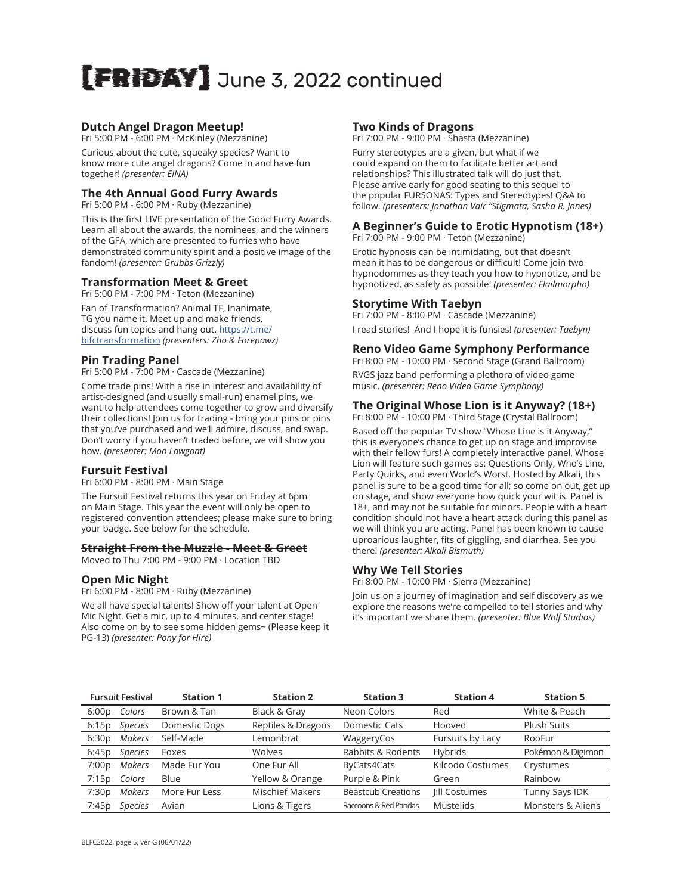# [FRIDAY] June 3, 2022 continued

#### **Dutch Angel Dragon Meetup!**

Fri 5:00 PM - 6:00 PM · McKinley (Mezzanine)

Curious about the cute, squeaky species? Want to know more cute angel dragons? Come in and have fun together! *(presenter: EINA)*

#### **The 4th Annual Good Furry Awards**

Fri 5:00 PM - 6:00 PM · Ruby (Mezzanine)

This is the first LIVE presentation of the Good Furry Awards. Learn all about the awards, the nominees, and the winners of the GFA, which are presented to furries who have demonstrated community spirit and a positive image of the fandom! *(presenter: Grubbs Grizzly)*

#### **Transformation Meet & Greet**

Fri 5:00 PM - 7:00 PM · Teton (Mezzanine)

Fan of Transformation? Animal TF, Inanimate, TG you name it. Meet up and make friends, discuss fun topics and hang out. [https://t.me/](https://t.me/blfctransformation) [blfctransformation](https://t.me/blfctransformation) *(presenters: Zho & Forepawz)*

#### **Pin Trading Panel**

Fri 5:00 PM - 7:00 PM · Cascade (Mezzanine)

Come trade pins! With a rise in interest and availability of artist-designed (and usually small-run) enamel pins, we want to help attendees come together to grow and diversify their collections! Join us for trading - bring your pins or pins that you've purchased and we'll admire, discuss, and swap. Don't worry if you haven't traded before, we will show you how. *(presenter: Moo Lawgoat)*

#### **Fursuit Festival**

Fri 6:00 PM - 8:00 PM · Main Stage

The Fursuit Festival returns this year on Friday at 6pm on Main Stage. This year the event will only be open to registered convention attendees; please make sure to bring your badge. See below for the schedule.

#### **Straight From the Muzzle - Meet & Greet**

Moved to Thu 7:00 PM - 9:00 PM · Location TBD

#### **Open Mic Night**

Fri 6:00 PM - 8:00 PM · Ruby (Mezzanine)

We all have special talents! Show off your talent at Open Mic Night. Get a mic, up to 4 minutes, and center stage! Also come on by to see some hidden gems~ (Please keep it PG-13) *(presenter: Pony for Hire)*

#### **Two Kinds of Dragons**

Fri 7:00 PM - 9:00 PM · Shasta (Mezzanine)

Furry stereotypes are a given, but what if we could expand on them to facilitate better art and relationships? This illustrated talk will do just that. Please arrive early for good seating to this sequel to the popular FURSONAS: Types and Stereotypes! Q&A to follow. *(presenters: Jonathan Vair "Stigmata, Sasha R. Jones)*

#### **A Beginner's Guide to Erotic Hypnotism (18+)** Fri 7:00 PM - 9:00 PM · Teton (Mezzanine)

Erotic hypnosis can be intimidating, but that doesn't mean it has to be dangerous or difficult! Come join two hypnodommes as they teach you how to hypnotize, and be hypnotized, as safely as possible! *(presenter: Flailmorpho)*

#### **Storytime With Taebyn**

Fri 7:00 PM - 8:00 PM · Cascade (Mezzanine) I read stories! And I hope it is funsies! *(presenter: Taebyn)*

#### **Reno Video Game Symphony Performance**

Fri 8:00 PM - 10:00 PM · Second Stage (Grand Ballroom) RVGS jazz band performing a plethora of video game music. *(presenter: Reno Video Game Symphony)*

# **The Original Whose Lion is it Anyway? (18+)**

Fri 8:00 PM - 10:00 PM · Third Stage (Crystal Ballroom) Based off the popular TV show "Whose Line is it Anyway," this is everyone's chance to get up on stage and improvise with their fellow furs! A completely interactive panel, Whose Lion will feature such games as: Questions Only, Who's Line, Party Quirks, and even World's Worst. Hosted by Alkali, this panel is sure to be a good time for all; so come on out, get up on stage, and show everyone how quick your wit is. Panel is 18+, and may not be suitable for minors. People with a heart condition should not have a heart attack during this panel as we will think you are acting. Panel has been known to cause uproarious laughter, fits of giggling, and diarrhea. See you there! *(presenter: Alkali Bismuth)*

#### **Why We Tell Stories**

Fri 8:00 PM - 10:00 PM · Sierra (Mezzanine)

Join us on a journey of imagination and self discovery as we explore the reasons we're compelled to tell stories and why it's important we share them. *(presenter: Blue Wolf Studios)*

|       | <b>Fursuit Festival</b> | <b>Station 1</b> | <b>Station 2</b>       | <b>Station 3</b>          | <b>Station 4</b>     | <b>Station 5</b>  |
|-------|-------------------------|------------------|------------------------|---------------------------|----------------------|-------------------|
| 6:00p | Colors                  | Brown & Tan      | Black & Gray           | Neon Colors               | Red                  | White & Peach     |
| 6:15p | <b>Species</b>          | Domestic Dogs    | Reptiles & Dragons     | Domestic Cats             | Hooved               | Plush Suits       |
| 6:30p | Makers                  | Self-Made        | Lemonbrat              | WaggeryCos                | Fursuits by Lacy     | RooFur            |
| 6:45p | <b>Species</b>          | Foxes            | <b>Wolves</b>          | Rabbits & Rodents         | Hybrids              | Pokémon & Digimon |
| 7:00p | Makers                  | Made Fur You     | One Fur All            | ByCats4Cats               | Kilcodo Costumes     | Crystumes         |
| 7:15p | Colors                  | Blue             | Yellow & Orange        | Purple & Pink             | Green                | Rainbow           |
| 7:30p | Makers                  | More Fur Less    | <b>Mischief Makers</b> | <b>Beastcub Creations</b> | <b>Jill Costumes</b> | Tunny Says IDK    |
| 7:45p | <b>Species</b>          | Avian            | Lions & Tigers         | Raccoons & Red Pandas     | Mustelids            | Monsters & Aliens |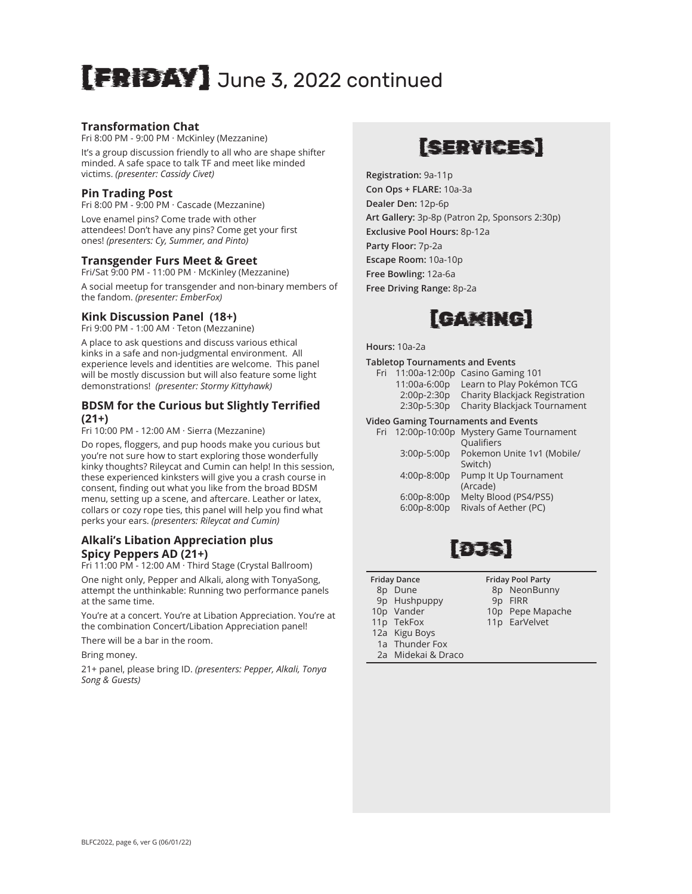# [FRIDAY] June 3, 2022 continued

#### **Transformation Chat**

Fri 8:00 PM - 9:00 PM · McKinley (Mezzanine)

It's a group discussion friendly to all who are shape shifter minded. A safe space to talk TF and meet like minded victims. *(presenter: Cassidy Civet)*

#### **Pin Trading Post**

Fri 8:00 PM - 9:00 PM · Cascade (Mezzanine)

Love enamel pins? Come trade with other attendees! Don't have any pins? Come get your first ones! *(presenters: Cy, Summer, and Pinto)*

#### **Transgender Furs Meet & Greet**

Fri/Sat 9:00 PM - 11:00 PM · McKinley (Mezzanine)

A social meetup for transgender and non-binary members of the fandom. *(presenter: EmberFox)*

#### **Kink Discussion Panel (18+)**

Fri 9:00 PM - 1:00 AM · Teton (Mezzanine)

A place to ask questions and discuss various ethical kinks in a safe and non-judgmental environment. All experience levels and identities are welcome. This panel will be mostly discussion but will also feature some light demonstrations! *(presenter: Stormy Kittyhawk)*

#### **BDSM for the Curious but Slightly Terrified (21+)**

Fri 10:00 PM - 12:00 AM · Sierra (Mezzanine)

Do ropes, floggers, and pup hoods make you curious but you're not sure how to start exploring those wonderfully kinky thoughts? Rileycat and Cumin can help! In this session, these experienced kinksters will give you a crash course in consent, finding out what you like from the broad BDSM menu, setting up a scene, and aftercare. Leather or latex, collars or cozy rope ties, this panel will help you find what perks your ears. *(presenters: Rileycat and Cumin)*

# **Alkali's Libation Appreciation plus Spicy Peppers AD (21+)**

Fri 11:00 PM - 12:00 AM · Third Stage (Crystal Ballroom)

One night only, Pepper and Alkali, along with TonyaSong, attempt the unthinkable: Running two performance panels at the same time.

You're at a concert. You're at Libation Appreciation. You're at the combination Concert/Libation Appreciation panel!

There will be a bar in the room.

Bring money.

21+ panel, please bring ID. *(presenters: Pepper, Alkali, Tonya Song & Guests)*

# [SERVICES]

**Registration:** 9a-11p **Con Ops + FLARE:** 10a-3a **Dealer Den:** 12p-6p **Art Gallery:** 3p-8p (Patron 2p, Sponsors 2:30p) **Exclusive Pool Hours:** 8p-12a **Party Floor:** 7p-2a **Escape Room:** 10a-10p **Free Bowling:** 12a-6a **Free Driving Range:** 8p-2a



**Hours:** 10a-2a

#### **Tabletop Tournaments and Events**

| Fri |             | 11:00a-12:00p Casino Gaming 101        |
|-----|-------------|----------------------------------------|
|     |             | 11:00a-6:00p Learn to Play Pokémon TCG |
|     | 2:00p-2:30p | Charity Blackjack Registration         |
|     | 2:30p-5:30p | <b>Charity Blackjack Tournament</b>    |
|     |             |                                        |

#### **Video Gaming Tournaments and Events**

|                              | Qualifiers                                     |
|------------------------------|------------------------------------------------|
| 3:00p-5:00p                  | Pokemon Unite 1v1 (Mobile/<br>Switch)          |
| 4:00p-8:00p                  | Pump It Up Tournament<br>(Arcade)              |
| $6:00p-8:00p$<br>6:00p-8:00p | Melty Blood (PS4/PS5)<br>Rivals of Aether (PC) |
|                              |                                                |



- **Friday Dance**
- 8p Dune
- 9p Hushpuppy 10p Vander
- 
- **Friday Pool Party** 8p NeonBunny
- 
- 11p TekFox
- 9p FIRR
- 10p Pepe Mapache 11p EarVelvet
- 
- 12a Kigu Boys 1a Thunder Fox
- 2a Midekai & Draco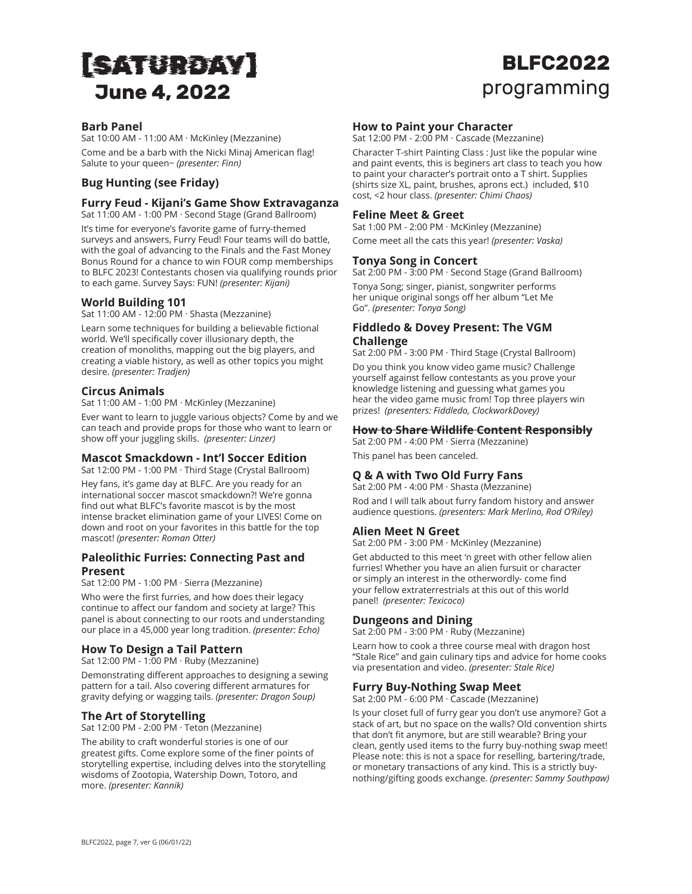# [SATURDAY] **June 4, 2022**

# **BLFC2022** programming

#### **Barb Panel**

Sat 10:00 AM - 11:00 AM · McKinley (Mezzanine) Come and be a barb with the Nicki Minaj American flag! Salute to your queen~ *(presenter: Finn)*

## **Bug Hunting (see Friday)**

## **Furry Feud - Kijani's Game Show Extravaganza**

Sat 11:00 AM - 1:00 PM · Second Stage (Grand Ballroom)

It's time for everyone's favorite game of furry-themed surveys and answers, Furry Feud! Four teams will do battle, with the goal of advancing to the Finals and the Fast Money Bonus Round for a chance to win FOUR comp memberships to BLFC 2023! Contestants chosen via qualifying rounds prior to each game. Survey Says: FUN! *(presenter: Kijani)*

#### **World Building 101**

Sat 11:00 AM - 12:00 PM · Shasta (Mezzanine)

Learn some techniques for building a believable fictional world. We'll specifically cover illusionary depth, the creation of monoliths, mapping out the big players, and creating a viable history, as well as other topics you might desire. *(presenter: Tradjen)*

#### **Circus Animals**

Sat 11:00 AM - 1:00 PM · McKinley (Mezzanine)

Ever want to learn to juggle various objects? Come by and we can teach and provide props for those who want to learn or show off your juggling skills. *(presenter: Linzer)*

#### **Mascot Smackdown - Int'l Soccer Edition**

Sat 12:00 PM - 1:00 PM · Third Stage (Crystal Ballroom)

Hey fans, it's game day at BLFC. Are you ready for an international soccer mascot smackdown?! We're gonna find out what BLFC's favorite mascot is by the most intense bracket elimination game of your LIVES! Come on down and root on your favorites in this battle for the top mascot! *(presenter: Roman Otter)*

#### **Paleolithic Furries: Connecting Past and Present**

Sat 12:00 PM - 1:00 PM · Sierra (Mezzanine)

Who were the first furries, and how does their legacy continue to affect our fandom and society at large? This panel is about connecting to our roots and understanding our place in a 45,000 year long tradition. *(presenter: Echo)*

#### **How To Design a Tail Pattern**

Sat 12:00 PM - 1:00 PM · Ruby (Mezzanine) Demonstrating different approaches to designing a sewing pattern for a tail. Also covering different armatures for gravity defying or wagging tails. *(presenter: Dragon Soup)*

# **The Art of Storytelling**

Sat 12:00 PM - 2:00 PM · Teton (Mezzanine)

The ability to craft wonderful stories is one of our greatest gifts. Come explore some of the finer points of storytelling expertise, including delves into the storytelling wisdoms of Zootopia, Watership Down, Totoro, and more. *(presenter: Kannik)*

#### **How to Paint your Character**

Sat 12:00 PM - 2:00 PM · Cascade (Mezzanine)

Character T-shirt Painting Class : Just like the popular wine and paint events, this is beginers art class to teach you how to paint your character's portrait onto a T shirt. Supplies (shirts size XL, paint, brushes, aprons ect.) included, \$10 cost, <2 hour class. *(presenter: Chimi Chaos)*

#### **Feline Meet & Greet**

Sat 1:00 PM - 2:00 PM · McKinley (Mezzanine) Come meet all the cats this year! *(presenter: Vaska)*

#### **Tonya Song in Concert**

Go". *(presenter: Tonya Song)*

Sat 2:00 PM - 3:00 PM · Second Stage (Grand Ballroom) Tonya Song; singer, pianist, songwriter performs her unique original songs off her album "Let Me

#### **Fiddledo & Dovey Present: The VGM Challenge**

Sat 2:00 PM - 3:00 PM · Third Stage (Crystal Ballroom) Do you think you know video game music? Challenge yourself against fellow contestants as you prove your knowledge listening and guessing what games you hear the video game music from! Top three players win prizes! *(presenters: Fiddledo, ClockworkDovey)*

#### **How to Share Wildlife Content Responsibly**

Sat 2:00 PM - 4:00 PM · Sierra (Mezzanine)

This panel has been canceled.

## **Q & A with Two Old Furry Fans**

Sat 2:00 PM - 4:00 PM · Shasta (Mezzanine)

Rod and I will talk about furry fandom history and answer audience questions. *(presenters: Mark Merlino, Rod O'Riley)*

#### **Alien Meet N Greet**

Sat 2:00 PM - 3:00 PM · McKinley (Mezzanine)

Get abducted to this meet 'n greet with other fellow alien furries! Whether you have an alien fursuit or character or simply an interest in the otherwordly- come find your fellow extraterrestrials at this out of this world panel! *(presenter: Texicoco)*

#### **Dungeons and Dining**

Sat  $2:00$  PM - 3:00 PM  $\cdot$  Ruby (Mezzanine)

Learn how to cook a three course meal with dragon host "Stale Rice" and gain culinary tips and advice for home cooks via presentation and video. *(presenter: Stale Rice)*

# **Furry Buy-Nothing Swap Meet**

Sat 2:00 PM - 6:00 PM · Cascade (Mezzanine)

Is your closet full of furry gear you don't use anymore? Got a stack of art, but no space on the walls? Old convention shirts that don't fit anymore, but are still wearable? Bring your clean, gently used items to the furry buy-nothing swap meet! Please note: this is not a space for reselling, bartering/trade, or monetary transactions of any kind. This is a strictly buynothing/gifting goods exchange. *(presenter: Sammy Southpaw)*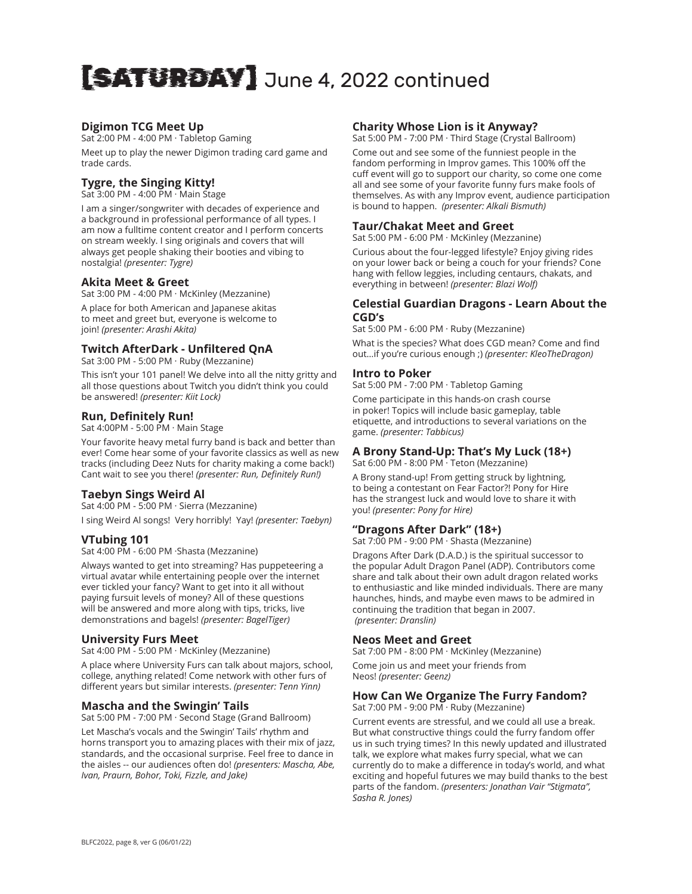# [SATURDAY] June 4, 2022 continued

## **Digimon TCG Meet Up**

Sat 2:00 PM - 4:00 PM · Tabletop Gaming Meet up to play the newer Digimon trading card game and trade cards.

# **Tygre, the Singing Kitty!**

Sat 3:00 PM - 4:00 PM · Main Stage

I am a singer/songwriter with decades of experience and a background in professional performance of all types. I am now a fulltime content creator and I perform concerts on stream weekly. I sing originals and covers that will always get people shaking their booties and vibing to nostalgia! *(presenter: Tygre)*

#### **Akita Meet & Greet**

Sat 3:00 PM - 4:00 PM · McKinley (Mezzanine)

A place for both American and Japanese akitas to meet and greet but, everyone is welcome to join! *(presenter: Arashi Akita)*

#### **Twitch AfterDark - Unfiltered QnA**

Sat 3:00 PM - 5:00 PM · Ruby (Mezzanine)

This isn't your 101 panel! We delve into all the nitty gritty and all those questions about Twitch you didn't think you could be answered! *(presenter: Kiit Lock)*

#### **Run, Definitely Run!**

Sat 4:00PM - 5:00 PM · Main Stage

Your favorite heavy metal furry band is back and better than ever! Come hear some of your favorite classics as well as new tracks (including Deez Nuts for charity making a come back!) Cant wait to see you there! *(presenter: Run, Definitely Run!)*

## **Taebyn Sings Weird Al**

Sat 4:00 PM - 5:00 PM · Sierra (Mezzanine)

I sing Weird Al songs! Very horribly! Yay! *(presenter: Taebyn)*

#### **VTubing 101**

Sat 4:00 PM - 6:00 PM ·Shasta (Mezzanine)

Always wanted to get into streaming? Has puppeteering a virtual avatar while entertaining people over the internet ever tickled your fancy? Want to get into it all without paying fursuit levels of money? All of these questions will be answered and more along with tips, tricks, live demonstrations and bagels! *(presenter: BagelTiger)*

#### **University Furs Meet**

Sat 4:00 PM - 5:00 PM · McKinley (Mezzanine)

A place where University Furs can talk about majors, school, college, anything related! Come network with other furs of different years but similar interests. *(presenter: Tenn Yinn)*

#### **Mascha and the Swingin' Tails**

Sat 5:00 PM - 7:00 PM · Second Stage (Grand Ballroom)

Let Mascha's vocals and the Swingin' Tails' rhythm and horns transport you to amazing places with their mix of jazz, standards, and the occasional surprise. Feel free to dance in the aisles -- our audiences often do! *(presenters: Mascha, Abe, Ivan, Praurn, Bohor, Toki, Fizzle, and Jake)*

#### **Charity Whose Lion is it Anyway?**

Sat 5:00 PM - 7:00 PM · Third Stage (Crystal Ballroom)

Come out and see some of the funniest people in the fandom performing in Improv games. This 100% off the cuff event will go to support our charity, so come one come all and see some of your favorite funny furs make fools of themselves. As with any Improv event, audience participation is bound to happen. *(presenter: Alkali Bismuth)*

#### **Taur/Chakat Meet and Greet**

Sat 5:00 PM - 6:00 PM · McKinley (Mezzanine)

Curious about the four-legged lifestyle? Enjoy giving rides on your lower back or being a couch for your friends? Cone hang with fellow leggies, including centaurs, chakats, and everything in between! *(presenter: Blazi Wolf)*

#### **Celestial Guardian Dragons - Learn About the CGD's**

Sat 5:00 PM - 6:00 PM · Ruby (Mezzanine) What is the species? What does CGD mean? Come and find

out…if you're curious enough ;) *(presenter: KleoTheDragon)*

# **Intro to Poker**

Sat 5:00 PM - 7:00 PM · Tabletop Gaming

Come participate in this hands-on crash course in poker! Topics will include basic gameplay, table etiquette, and introductions to several variations on the game. *(presenter: Tabbicus)*

#### **A Brony Stand-Up: That's My Luck (18+)**

Sat 6:00 PM - 8:00 PM · Teton (Mezzanine)

A Brony stand-up! From getting struck by lightning, to being a contestant on Fear Factor?! Pony for Hire has the strangest luck and would love to share it with you! *(presenter: Pony for Hire)*

#### **"Dragons After Dark" (18+)**

Sat 7:00 PM - 9:00 PM · Shasta (Mezzanine)

Dragons After Dark (D.A.D.) is the spiritual successor to the popular Adult Dragon Panel (ADP). Contributors come share and talk about their own adult dragon related works to enthusiastic and like minded individuals. There are many haunches, hinds, and maybe even maws to be admired in continuing the tradition that began in 2007.  *(presenter: Dranslin)*

#### **Neos Meet and Greet**

Sat 7:00 PM - 8:00 PM · McKinley (Mezzanine)

Come join us and meet your friends from Neos! *(presenter: Geenz)*

# **How Can We Organize The Furry Fandom?**

Sat 7:00 PM - 9:00 PM · Ruby (Mezzanine)

Current events are stressful, and we could all use a break. But what constructive things could the furry fandom offer us in such trying times? In this newly updated and illustrated talk, we explore what makes furry special, what we can currently do to make a difference in today's world, and what exciting and hopeful futures we may build thanks to the best parts of the fandom. *(presenters: Jonathan Vair "Stigmata", Sasha R. Jones)*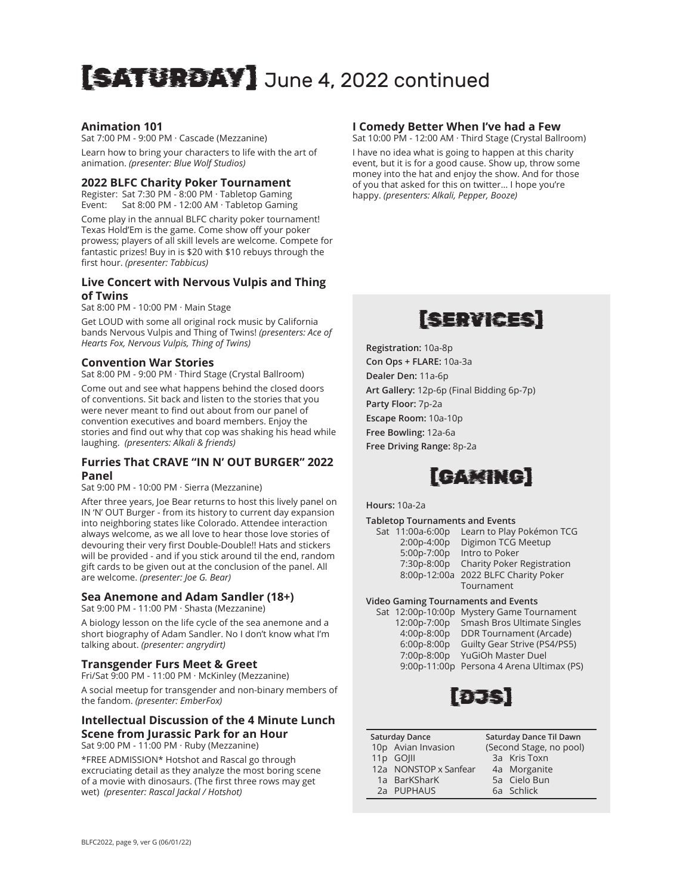# [SATURDAY] June 4, 2022 continued

#### **Animation 101**

Sat 7:00 PM - 9:00 PM · Cascade (Mezzanine) Learn how to bring your characters to life with the art of animation. *(presenter: Blue Wolf Studios)*

#### **2022 BLFC Charity Poker Tournament**

Register: Sat 7:30 PM - 8:00 PM · Tabletop Gaming Event: Sat 8:00 PM - 12:00 AM · Tabletop Gaming

Come play in the annual BLFC charity poker tournament! Texas Hold'Em is the game. Come show off your poker prowess; players of all skill levels are welcome. Compete for fantastic prizes! Buy in is \$20 with \$10 rebuys through the first hour. *(presenter: Tabbicus)*

#### **Live Concert with Nervous Vulpis and Thing of Twins**

Sat 8:00 PM - 10:00 PM · Main Stage

Get LOUD with some all original rock music by California bands Nervous Vulpis and Thing of Twins! *(presenters: Ace of Hearts Fox, Nervous Vulpis, Thing of Twins)*

#### **Convention War Stories**

Sat 8:00 PM - 9:00 PM · Third Stage (Crystal Ballroom)

Come out and see what happens behind the closed doors of conventions. Sit back and listen to the stories that you were never meant to find out about from our panel of convention executives and board members. Enjoy the stories and find out why that cop was shaking his head while laughing. *(presenters: Alkali & friends)*

#### **Furries That CRAVE "IN N' OUT BURGER" 2022 Panel**

Sat 9:00 PM - 10:00 PM · Sierra (Mezzanine)

After three years, Joe Bear returns to host this lively panel on IN 'N' OUT Burger - from its history to current day expansion into neighboring states like Colorado. Attendee interaction always welcome, as we all love to hear those love stories of devouring their very first Double-Double!! Hats and stickers will be provided - and if you stick around til the end, random gift cards to be given out at the conclusion of the panel. All are welcome. *(presenter: Joe G. Bear)*

#### **Sea Anemone and Adam Sandler (18+)**

Sat 9:00 PM - 11:00 PM · Shasta (Mezzanine)

A biology lesson on the life cycle of the sea anemone and a short biography of Adam Sandler. No I don't know what I'm talking about. *(presenter: angrydirt)*

#### **Transgender Furs Meet & Greet**

Fri/Sat 9:00 PM - 11:00 PM · McKinley (Mezzanine)

A social meetup for transgender and non-binary members of the fandom. *(presenter: EmberFox)*

#### **Intellectual Discussion of the 4 Minute Lunch Scene from Jurassic Park for an Hour**

Sat 9:00 PM - 11:00 PM · Ruby (Mezzanine)

\*FREE ADMISSION\* Hotshot and Rascal go through excruciating detail as they analyze the most boring scene of a movie with dinosaurs. (The first three rows may get wet) *(presenter: Rascal Jackal / Hotshot)*

#### **I Comedy Better When I've had a Few**

Sat 10:00 PM - 12:00 AM · Third Stage (Crystal Ballroom)

I have no idea what is going to happen at this charity event, but it is for a good cause. Show up, throw some money into the hat and enjoy the show. And for those of you that asked for this on twitter… I hope you're happy. *(presenters: Alkali, Pepper, Booze)*



**Registration:** 10a-8p **Con Ops + FLARE:** 10a-3a **Dealer Den:** 11a-6p **Art Gallery:** 12p-6p (Final Bidding 6p-7p) **Party Floor:** 7p-2a **Escape Room:** 10a-10p **Free Bowling:** 12a-6a **Free Driving Range:** 8p-2a



**Hours:** 10a-2a

**Tabletop Tournaments and Events**

| Sat 11:00a-6:00p | Learn to Play Pokémon TCG            |
|------------------|--------------------------------------|
| 2:00p-4:00p      | Digimon TCG Meetup                   |
| 5:00p-7:00p      | Intro to Poker                       |
| 7:30p-8:00p      | Charity Poker Registration           |
|                  | 8:00p-12:00a 2022 BLFC Charity Poker |
|                  | Tournament                           |
|                  |                                      |

#### **Video Gaming Tournaments and Events**

|               | Sat 12:00p-10:00p Mystery Game Tournament |
|---------------|-------------------------------------------|
| 12:00p-7:00p  | Smash Bros Ultimate Singles               |
| 4:00p-8:00p   | <b>DDR Tournament (Arcade)</b>            |
| $6:00p-8:00p$ | Guilty Gear Strive (PS4/PS5)              |
| 7:00p-8:00p   | YuGiOh Master Duel                        |
| 9:00p-11:00p  | Persona 4 Arena Ultimax (PS)              |
|               |                                           |



| Saturday Dance |  |  | Saturd |
|----------------|--|--|--------|
|                |  |  |        |

| 10p Avian Invasion    |
|-----------------------|
| 11p GOIII             |
| 12a NONSTOP x Sanfear |
| 1a BarKSharK          |

- 2a PUPHAUS
- **Saturday Dance Til Dawn** (Second Stage, no pool) 3a Kris Toxn 4a Morganite 5a Cielo Bun 6a Schlick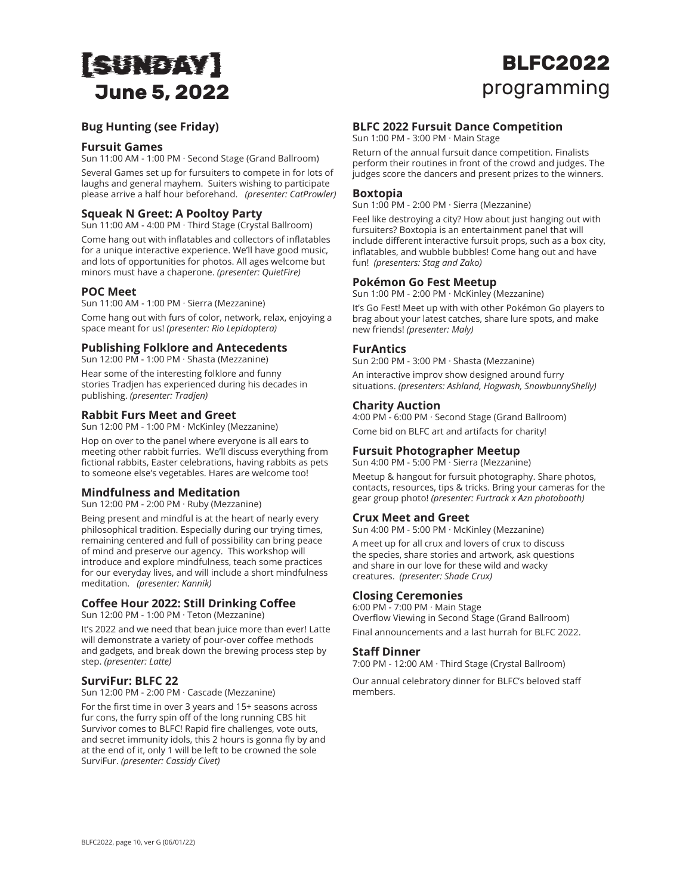# [SUNDAY] **June 5, 2022**

# **BLFC2022** programming

## **Bug Hunting (see Friday)**

#### **Fursuit Games**

Sun 11:00 AM - 1:00 PM · Second Stage (Grand Ballroom)

Several Games set up for fursuiters to compete in for lots of laughs and general mayhem. Suiters wishing to participate please arrive a half hour beforehand. *(presenter: CatProwler)*

## **Squeak N Greet: A Pooltoy Party**

Sun 11:00 AM - 4:00 PM · Third Stage (Crystal Ballroom)

Come hang out with inflatables and collectors of inflatables for a unique interactive experience. We'll have good music, and lots of opportunities for photos. All ages welcome but minors must have a chaperone. *(presenter: QuietFire)*

#### **POC Meet**

Sun 11:00 AM - 1:00 PM · Sierra (Mezzanine)

Come hang out with furs of color, network, relax, enjoying a space meant for us! *(presenter: Rio Lepidoptera)*

#### **Publishing Folklore and Antecedents**

Sun 12:00 PM - 1:00 PM · Shasta (Mezzanine) Hear some of the interesting folklore and funny stories Tradjen has experienced during his decades in publishing. *(presenter: Tradjen)*

#### **Rabbit Furs Meet and Greet**

Sun 12:00 PM - 1:00 PM · McKinley (Mezzanine)

Hop on over to the panel where everyone is all ears to meeting other rabbit furries. We'll discuss everything from fictional rabbits, Easter celebrations, having rabbits as pets to someone else's vegetables. Hares are welcome too!

#### **Mindfulness and Meditation**

Sun 12:00 PM - 2:00 PM · Ruby (Mezzanine)

Being present and mindful is at the heart of nearly every philosophical tradition. Especially during our trying times, remaining centered and full of possibility can bring peace of mind and preserve our agency. This workshop will introduce and explore mindfulness, teach some practices for our everyday lives, and will include a short mindfulness meditation. *(presenter: Kannik)*

## **Coffee Hour 2022: Still Drinking Coffee**

Sun 12:00 PM - 1:00 PM · Teton (Mezzanine)

It's 2022 and we need that bean juice more than ever! Latte will demonstrate a variety of pour-over coffee methods and gadgets, and break down the brewing process step by step. *(presenter: Latte)*

## **SurviFur: BLFC 22**

Sun 12:00 PM - 2:00 PM · Cascade (Mezzanine)

For the first time in over 3 years and 15+ seasons across fur cons, the furry spin off of the long running CBS hit Survivor comes to BLFC! Rapid fire challenges, vote outs, and secret immunity idols, this 2 hours is gonna fly by and at the end of it, only 1 will be left to be crowned the sole SurviFur. *(presenter: Cassidy Civet)*

#### **BLFC 2022 Fursuit Dance Competition**

Sun 1:00 PM - 3:00 PM · Main Stage

Return of the annual fursuit dance competition. Finalists perform their routines in front of the crowd and judges. The judges score the dancers and present prizes to the winners.

#### **Boxtopia**

Sun 1:00 PM - 2:00 PM · Sierra (Mezzanine)

Feel like destroying a city? How about just hanging out with fursuiters? Boxtopia is an entertainment panel that will include different interactive fursuit props, such as a box city, inflatables, and wubble bubbles! Come hang out and have fun! *(presenters: Stag and Zako)*

#### **Pokémon Go Fest Meetup**

Sun 1:00 PM - 2:00 PM · McKinley (Mezzanine)

It's Go Fest! Meet up with with other Pokémon Go players to brag about your latest catches, share lure spots, and make new friends! *(presenter: Maly)*

#### **FurAntics**

Sun 2:00 PM - 3:00 PM · Shasta (Mezzanine)

An interactive improv show designed around furry situations. *(presenters: Ashland, Hogwash, SnowbunnyShelly)*

#### **Charity Auction**

4:00 PM - 6:00 PM · Second Stage (Grand Ballroom) Come bid on BLFC art and artifacts for charity!

#### **Fursuit Photographer Meetup**

Sun 4:00 PM - 5:00 PM · Sierra (Mezzanine)

Meetup & hangout for fursuit photography. Share photos, contacts, resources, tips & tricks. Bring your cameras for the gear group photo! *(presenter: Furtrack x Azn photobooth)*

#### **Crux Meet and Greet**

Sun 4:00 PM - 5:00 PM · McKinley (Mezzanine)

A meet up for all crux and lovers of crux to discuss the species, share stories and artwork, ask questions and share in our love for these wild and wacky creatures. *(presenter: Shade Crux)*

#### **Closing Ceremonies**

6:00 PM - 7:00 PM · Main Stage Overflow Viewing in Second Stage (Grand Ballroom)

Final announcements and a last hurrah for BLFC 2022.

#### **Staff Dinner**

7:00 PM - 12:00 AM · Third Stage (Crystal Ballroom)

Our annual celebratory dinner for BLFC's beloved staff members.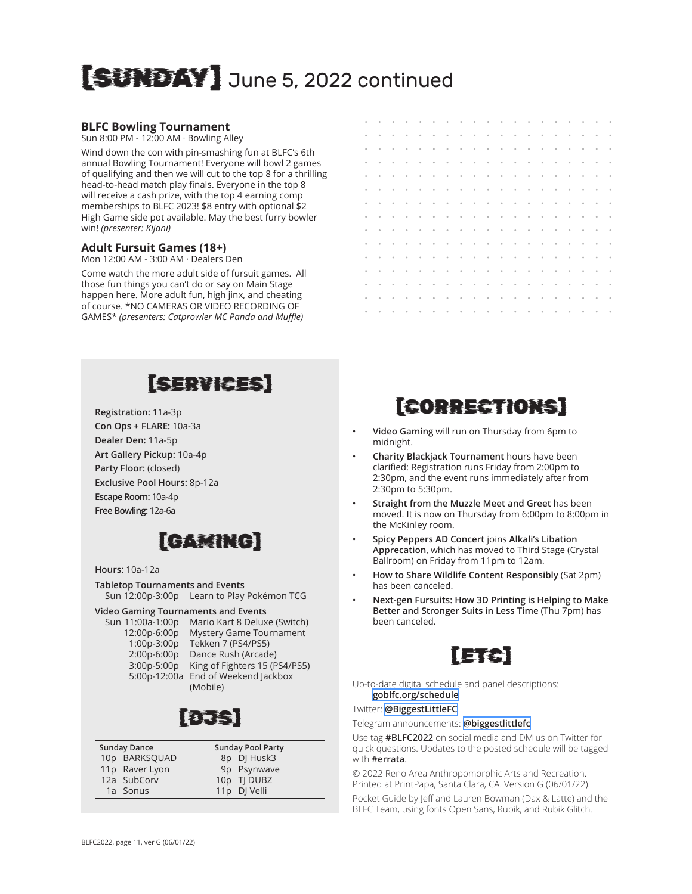# [SUNDAY] June 5, 2022 continued

## **BLFC Bowling Tournament**

Sun 8:00 PM - 12:00 AM · Bowling Alley

Wind down the con with pin-smashing fun at BLFC's 6th annual Bowling Tournament! Everyone will bowl 2 games of qualifying and then we will cut to the top 8 for a thrilling head-to-head match play finals. Everyone in the top 8 will receive a cash prize, with the top 4 earning comp memberships to BLFC 2023! \$8 entry with optional \$2 High Game side pot available. May the best furry bowler win! *(presenter: Kijani)*

#### **Adult Fursuit Games (18+)**

Mon 12:00 AM - 3:00 AM · Dealers Den

Come watch the more adult side of fursuit games. All those fun things you can't do or say on Main Stage happen here. More adult fun, high jinx, and cheating of course. \*NO CAMERAS OR VIDEO RECORDING OF GAMES\* *(presenters: Catprowler MC Panda and Muffle)*

# [SERVICES]

**Registration:** 11a-3p **Con Ops + FLARE:** 10a-3a **Dealer Den:** 11a-5p **Art Gallery Pickup:** 10a-4p **Party Floor:** (closed) **Exclusive Pool Hours:** 8p-12a **Escape Room:** 10a-4p **Free Bowling:** 12a-6a

# [GAMING]

#### **Hours:** 10a-12a

**Tabletop Tournaments and Events** Sun 12:00p-3:00p Learn to Play Pokémon TCG

#### **Video Gaming Tournaments and Events**

Sun 11:00a-1:00p Mario Kart 8 Deluxe (Switch) 12:00p-6:00p Mystery Game Tournament 1:00p-3:00p Tekken 7 (PS4/PS5) 2:00p-6:00p Dance Rush (Arcade) 3:00p-5:00p King of Fighters 15 (PS4/PS5) 5:00p-12:00a End of Weekend Jackbox (Mobile)

11p DJ Velli



#### **Sunday Dance** 10p BARKSQUAD 11p Raver Lyon 12a SubCorv **Sunday Pool Party** 8p DJ Husk3 9p Psynwave 10p TJ DUBZ

1a Sonus

# [CORRECTIONS]

- **Video Gaming** will run on Thursday from 6pm to midnight.
- **Charity Blackjack Tournament** hours have been clarified: Registration runs Friday from 2:00pm to 2:30pm, and the event runs immediately after from 2:30pm to 5:30pm.
- **Straight from the Muzzle Meet and Greet** has been moved. It is now on Thursday from 6:00pm to 8:00pm in the McKinley room.
- **Spicy Peppers AD Concert** joins **Alkali's Libation Apprecation**, which has moved to Third Stage (Crystal Ballroom) on Friday from 11pm to 12am.
- **How to Share Wildlife Content Responsibly** (Sat 2pm) has been canceled.
- **Next-gen Fursuits: How 3D Printing is Helping to Make Better and Stronger Suits in Less Time** (Thu 7pm) has been canceled.



Up-to-date digital schedule and panel descriptions: **[goblfc.org/schedule](https://www.goblfc.org/schedule)**

Twitter: **[@BiggestLittleFC](https://twitter.com/BiggestLittleFC)**

Telegram announcements: **[@biggestlittlefc](https://t.me/biggestlittlefc)**

Use tag **#BLFC2022** on social media and DM us on Twitter for quick questions. Updates to the posted schedule will be tagged with **#errata**.

© 2022 Reno Area Anthropomorphic Arts and Recreation. Printed at PrintPapa, Santa Clara, CA. Version G (06/01/22).

Pocket Guide by Jeff and Lauren Bowman (Dax & Latte) and the BLFC Team, using fonts Open Sans, Rubik, and Rubik Glitch.